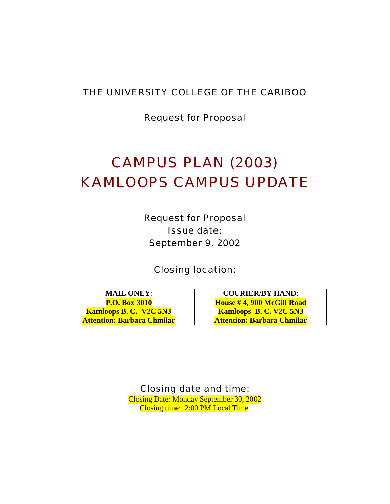# THE UNIVERSITY COLLEGE OF THE CARIBOO

Request for Proposal

# CAMPUS PLAN (2003) KAMLOOPS CAMPUS UPDATE

Request for Proposal Issue date: September 9, 2002

Closing location:

| <b>MAIL ONLY:</b>                 | <b>COURIER/BY HAND:</b>           |
|-----------------------------------|-----------------------------------|
| <b>P.O. Box 3010</b>              | House #4, 900 McGill Road         |
| <b>Kamloops B. C. V2C 5N3</b>     | <b>Kamloops B. C. V2C 5N3</b>     |
| <b>Attention: Barbara Chmilar</b> | <b>Attention: Barbara Chmilar</b> |

Closing date and time: Closing Date: Monday September 30, 2002 Closing time: 2:00 PM Local Time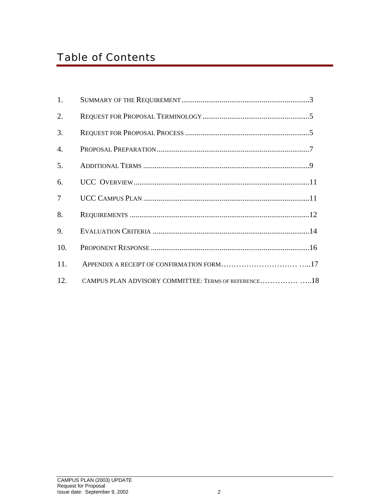# Table of Contents

| 1.               |                                                      |  |
|------------------|------------------------------------------------------|--|
| 2.               |                                                      |  |
| 3.               |                                                      |  |
| $\overline{4}$ . |                                                      |  |
| 5.               |                                                      |  |
| 6.               |                                                      |  |
| $\overline{7}$   |                                                      |  |
| 8.               |                                                      |  |
| 9.               |                                                      |  |
| 10.              |                                                      |  |
| 11.              |                                                      |  |
| 12.              | CAMPUS PLAN ADVISORY COMMITTEE: TERMS OF REFERENCE18 |  |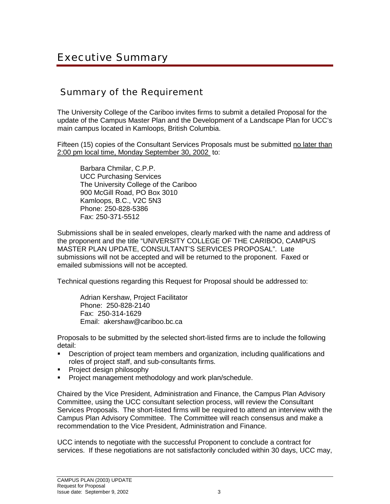# Summary of the Requirement

The University College of the Cariboo invites firms to submit a detailed Proposal for the update of the Campus Master Plan and the Development of a Landscape Plan for UCC's main campus located in Kamloops, British Columbia.

Fifteen (15) copies of the Consultant Services Proposals must be submitted no later than 2:00 pm local time, Monday September 30, 2002 to:

 Barbara Chmilar, C.P.P. UCC Purchasing Services The University College of the Cariboo 900 McGill Road, PO Box 3010 Kamloops, B.C., V2C 5N3 Phone: 250-828-5386 Fax: 250-371-5512

Submissions shall be in sealed envelopes, clearly marked with the name and address of the proponent and the title "UNIVERSITY COLLEGE OF THE CARIBOO, CAMPUS MASTER PLAN UPDATE, CONSULTANT'S SERVICES PROPOSAL". Late submissions will not be accepted and will be returned to the proponent. Faxed or emailed submissions will not be accepted.

Technical questions regarding this Request for Proposal should be addressed to:

 Adrian Kershaw, Project Facilitator Phone: 250-828-2140 Fax: 250-314-1629 Email: akershaw@cariboo.bc.ca

Proposals to be submitted by the selected short-listed firms are to include the following detail:

- ! Description of project team members and organization, including qualifications and roles of project staff, and sub-consultants firms.
- Project design philosophy
- ! Project management methodology and work plan/schedule.

Chaired by the Vice President, Administration and Finance, the Campus Plan Advisory Committee, using the UCC consultant selection process, will review the Consultant Services Proposals. The short-listed firms will be required to attend an interview with the Campus Plan Advisory Committee. The Committee will reach consensus and make a recommendation to the Vice President, Administration and Finance.

UCC intends to negotiate with the successful Proponent to conclude a contract for services. If these negotiations are not satisfactorily concluded within 30 days, UCC may,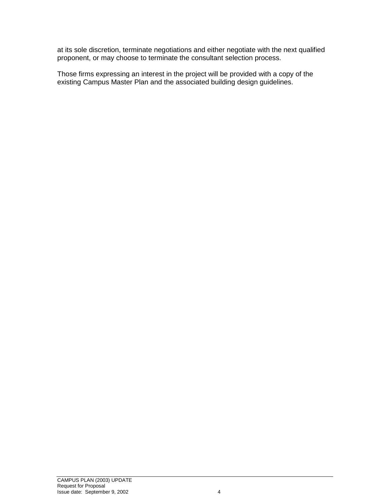at its sole discretion, terminate negotiations and either negotiate with the next qualified proponent, or may choose to terminate the consultant selection process.

Those firms expressing an interest in the project will be provided with a copy of the existing Campus Master Plan and the associated building design guidelines.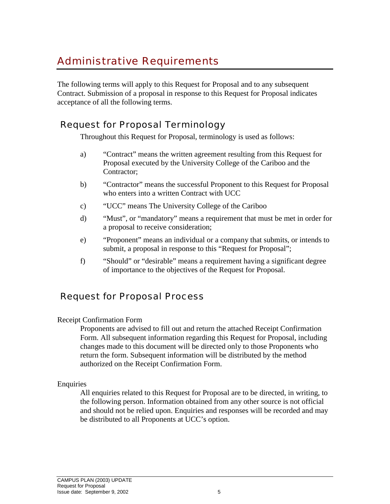# Administrative Requirements

The following terms will apply to this Request for Proposal and to any subsequent Contract. Submission of a proposal in response to this Request for Proposal indicates acceptance of all the following terms.

# Request for Proposal Terminology

Throughout this Request for Proposal, terminology is used as follows:

- a) "Contract" means the written agreement resulting from this Request for Proposal executed by the University College of the Cariboo and the Contractor;
- b) "Contractor" means the successful Proponent to this Request for Proposal who enters into a written Contract with UCC
- c) "UCC" means The University College of the Cariboo
- d) "Must", or "mandatory" means a requirement that must be met in order for a proposal to receive consideration;
- e) "Proponent" means an individual or a company that submits, or intends to submit, a proposal in response to this "Request for Proposal";
- f) "Should" or "desirable" means a requirement having a significant degree of importance to the objectives of the Request for Proposal.

### Request for Proposal Process

#### Receipt Confirmation Form

Proponents are advised to fill out and return the attached Receipt Confirmation Form. All subsequent information regarding this Request for Proposal, including changes made to this document will be directed only to those Proponents who return the form. Subsequent information will be distributed by the method authorized on the Receipt Confirmation Form.

#### Enquiries

All enquiries related to this Request for Proposal are to be directed, in writing, to the following person. Information obtained from any other source is not official and should not be relied upon. Enquiries and responses will be recorded and may be distributed to all Proponents at UCC's option.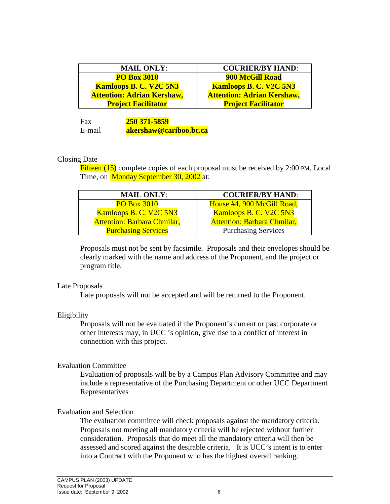| <b>MAIL ONLY:</b>                 | <b>COURIER/BY HAND:</b>           |
|-----------------------------------|-----------------------------------|
| <b>PO Box 3010</b>                | <b>900 McGill Road</b>            |
| <b>Kamloops B. C. V2C 5N3</b>     | <b>Kamloops B. C. V2C 5N3</b>     |
| <b>Attention: Adrian Kershaw,</b> | <b>Attention: Adrian Kershaw,</b> |
| <b>Project Facilitator</b>        | <b>Project Facilitator</b>        |

Fax **250 371-5859** E-mail **akershaw@cariboo.bc.ca**

#### Closing Date

Fifteen (15) complete copies of each proposal must be received by 2:00 PM, Local Time, on Monday September 30, 2002 at:

| <b>MAIL ONLY:</b>                  | <b>COURIER/BY HAND:</b>            |
|------------------------------------|------------------------------------|
| <b>PO Box 3010</b>                 | House #4, 900 McGill Road,         |
| Kamloops B. C. V2C 5N3             | <b>Kamloops B. C. V2C 5N3</b>      |
| <b>Attention: Barbara Chmilar,</b> | <b>Attention: Barbara Chmilar,</b> |
| <b>Purchasing Services</b>         | <b>Purchasing Services</b>         |

Proposals must not be sent by facsimile. Proposals and their envelopes should be clearly marked with the name and address of the Proponent, and the project or program title.

#### Late Proposals

Late proposals will not be accepted and will be returned to the Proponent.

#### Eligibility

Proposals will not be evaluated if the Proponent's current or past corporate or other interests may, in UCC 's opinion, give rise to a conflict of interest in connection with this project.

#### Evaluation Committee

Evaluation of proposals will be by a Campus Plan Advisory Committee and may include a representative of the Purchasing Department or other UCC Department Representatives

#### Evaluation and Selection

The evaluation committee will check proposals against the mandatory criteria. Proposals not meeting all mandatory criteria will be rejected without further consideration. Proposals that do meet all the mandatory criteria will then be assessed and scored against the desirable criteria. It is UCC's intent is to enter into a Contract with the Proponent who has the highest overall ranking.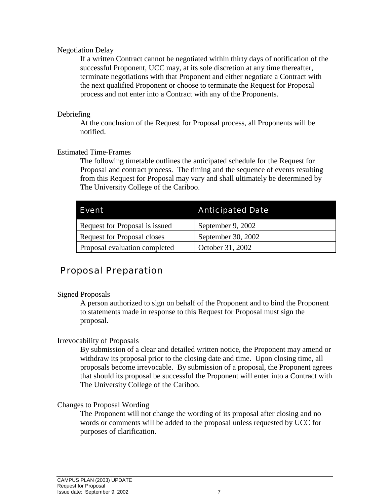#### Negotiation Delay

If a written Contract cannot be negotiated within thirty days of notification of the successful Proponent, UCC may, at its sole discretion at any time thereafter, terminate negotiations with that Proponent and either negotiate a Contract with the next qualified Proponent or choose to terminate the Request for Proposal process and not enter into a Contract with any of the Proponents.

#### Debriefing

At the conclusion of the Request for Proposal process, all Proponents will be notified.

#### Estimated Time-Frames

The following timetable outlines the anticipated schedule for the Request for Proposal and contract process. The timing and the sequence of events resulting from this Request for Proposal may vary and shall ultimately be determined by The University College of the Cariboo.

| Event                              | <b>Anticipated Date</b> |
|------------------------------------|-------------------------|
| Request for Proposal is issued     | September 9, 2002       |
| <b>Request for Proposal closes</b> | September 30, 2002      |
| Proposal evaluation completed      | October 31, 2002        |

# Proposal Preparation

#### Signed Proposals

A person authorized to sign on behalf of the Proponent and to bind the Proponent to statements made in response to this Request for Proposal must sign the proposal.

#### Irrevocability of Proposals

By submission of a clear and detailed written notice, the Proponent may amend or withdraw its proposal prior to the closing date and time. Upon closing time, all proposals become irrevocable. By submission of a proposal, the Proponent agrees that should its proposal be successful the Proponent will enter into a Contract with The University College of the Cariboo.

#### Changes to Proposal Wording

The Proponent will not change the wording of its proposal after closing and no words or comments will be added to the proposal unless requested by UCC for purposes of clarification.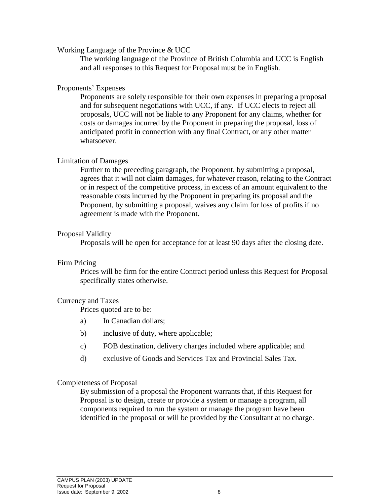Working Language of the Province & UCC

The working language of the Province of British Columbia and UCC is English and all responses to this Request for Proposal must be in English.

#### Proponents' Expenses

Proponents are solely responsible for their own expenses in preparing a proposal and for subsequent negotiations with UCC, if any. If UCC elects to reject all proposals, UCC will not be liable to any Proponent for any claims, whether for costs or damages incurred by the Proponent in preparing the proposal, loss of anticipated profit in connection with any final Contract, or any other matter whatsoever.

#### Limitation of Damages

Further to the preceding paragraph, the Proponent, by submitting a proposal, agrees that it will not claim damages, for whatever reason, relating to the Contract or in respect of the competitive process, in excess of an amount equivalent to the reasonable costs incurred by the Proponent in preparing its proposal and the Proponent, by submitting a proposal, waives any claim for loss of profits if no agreement is made with the Proponent.

#### Proposal Validity

Proposals will be open for acceptance for at least 90 days after the closing date.

#### Firm Pricing

Prices will be firm for the entire Contract period unless this Request for Proposal specifically states otherwise.

#### Currency and Taxes

Prices quoted are to be:

- a) In Canadian dollars;
- b) inclusive of duty, where applicable;
- c) FOB destination, delivery charges included where applicable; and
- d) exclusive of Goods and Services Tax and Provincial Sales Tax.

#### Completeness of Proposal

By submission of a proposal the Proponent warrants that, if this Request for Proposal is to design, create or provide a system or manage a program, all components required to run the system or manage the program have been identified in the proposal or will be provided by the Consultant at no charge.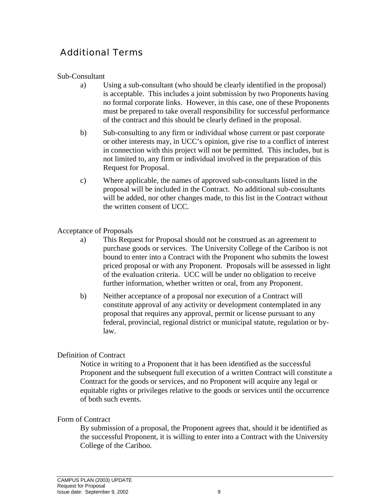# Additional Terms

#### Sub-Consultant

- a) Using a sub-consultant (who should be clearly identified in the proposal) is acceptable. This includes a joint submission by two Proponents having no formal corporate links. However, in this case, one of these Proponents must be prepared to take overall responsibility for successful performance of the contract and this should be clearly defined in the proposal.
- b) Sub-consulting to any firm or individual whose current or past corporate or other interests may, in UCC's opinion, give rise to a conflict of interest in connection with this project will not be permitted. This includes, but is not limited to, any firm or individual involved in the preparation of this Request for Proposal.
- c) Where applicable, the names of approved sub-consultants listed in the proposal will be included in the Contract. No additional sub-consultants will be added, nor other changes made, to this list in the Contract without the written consent of UCC.

#### Acceptance of Proposals

- a) This Request for Proposal should not be construed as an agreement to purchase goods or services. The University College of the Cariboo is not bound to enter into a Contract with the Proponent who submits the lowest priced proposal or with any Proponent. Proposals will be assessed in light of the evaluation criteria. UCC will be under no obligation to receive further information, whether written or oral, from any Proponent.
- b) Neither acceptance of a proposal nor execution of a Contract will constitute approval of any activity or development contemplated in any proposal that requires any approval, permit or license pursuant to any federal, provincial, regional district or municipal statute, regulation or bylaw.

#### Definition of Contract

Notice in writing to a Proponent that it has been identified as the successful Proponent and the subsequent full execution of a written Contract will constitute a Contract for the goods or services, and no Proponent will acquire any legal or equitable rights or privileges relative to the goods or services until the occurrence of both such events.

#### Form of Contract

By submission of a proposal, the Proponent agrees that, should it be identified as the successful Proponent, it is willing to enter into a Contract with the University College of the Cariboo.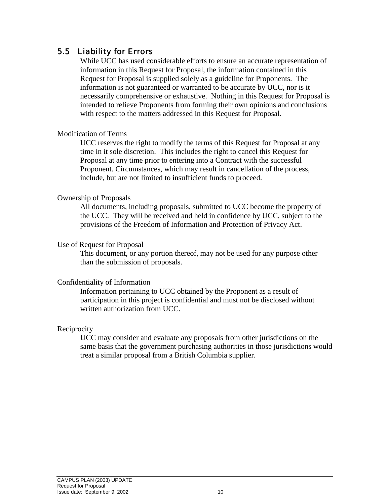#### 5.5 Liability for Errors

While UCC has used considerable efforts to ensure an accurate representation of information in this Request for Proposal, the information contained in this Request for Proposal is supplied solely as a guideline for Proponents. The information is not guaranteed or warranted to be accurate by UCC, nor is it necessarily comprehensive or exhaustive. Nothing in this Request for Proposal is intended to relieve Proponents from forming their own opinions and conclusions with respect to the matters addressed in this Request for Proposal.

#### Modification of Terms

UCC reserves the right to modify the terms of this Request for Proposal at any time in it sole discretion. This includes the right to cancel this Request for Proposal at any time prior to entering into a Contract with the successful Proponent. Circumstances, which may result in cancellation of the process, include, but are not limited to insufficient funds to proceed.

#### Ownership of Proposals

All documents, including proposals, submitted to UCC become the property of the UCC. They will be received and held in confidence by UCC, subject to the provisions of the Freedom of Information and Protection of Privacy Act.

#### Use of Request for Proposal

This document, or any portion thereof, may not be used for any purpose other than the submission of proposals.

#### Confidentiality of Information

Information pertaining to UCC obtained by the Proponent as a result of participation in this project is confidential and must not be disclosed without written authorization from UCC.

#### **Reciprocity**

UCC may consider and evaluate any proposals from other jurisdictions on the same basis that the government purchasing authorities in those jurisdictions would treat a similar proposal from a British Columbia supplier.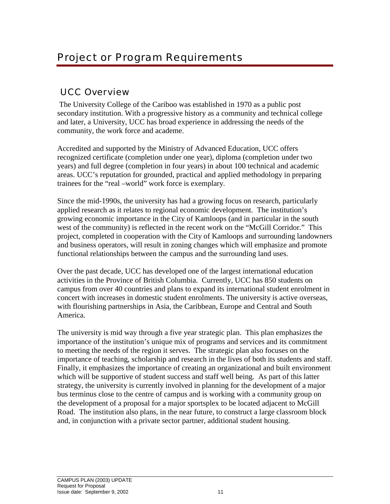# UCC Overview

 The University College of the Cariboo was established in 1970 as a public post secondary institution. With a progressive history as a community and technical college and later, a University, UCC has broad experience in addressing the needs of the community, the work force and academe.

Accredited and supported by the Ministry of Advanced Education, UCC offers recognized certificate (completion under one year), diploma (completion under two years) and full degree (completion in four years) in about 100 technical and academic areas. UCC's reputation for grounded, practical and applied methodology in preparing trainees for the "real –world" work force is exemplary.

Since the mid-1990s, the university has had a growing focus on research, particularly applied research as it relates to regional economic development. The institution's growing economic importance in the City of Kamloops (and in particular in the south west of the community) is reflected in the recent work on the "McGill Corridor." This project, completed in cooperation with the City of Kamloops and surrounding landowners and business operators, will result in zoning changes which will emphasize and promote functional relationships between the campus and the surrounding land uses.

Over the past decade, UCC has developed one of the largest international education activities in the Province of British Columbia. Currently, UCC has 850 students on campus from over 40 countries and plans to expand its international student enrolment in concert with increases in domestic student enrolments. The university is active overseas, with flourishing partnerships in Asia, the Caribbean, Europe and Central and South America.

The university is mid way through a five year strategic plan. This plan emphasizes the importance of the institution's unique mix of programs and services and its commitment to meeting the needs of the region it serves. The strategic plan also focuses on the importance of teaching, scholarship and research in the lives of both its students and staff. Finally, it emphasizes the importance of creating an organizational and built environment which will be supportive of student success and staff well being. As part of this latter strategy, the university is currently involved in planning for the development of a major bus terminus close to the centre of campus and is working with a community group on the development of a proposal for a major sportsplex to be located adjacent to McGill Road. The institution also plans, in the near future, to construct a large classroom block and, in conjunction with a private sector partner, additional student housing.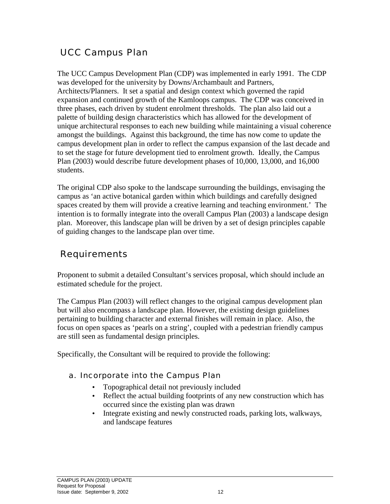# UCC Campus Plan

The UCC Campus Development Plan (CDP) was implemented in early 1991. The CDP was developed for the university by Downs/Archambault and Partners, Architects/Planners. It set a spatial and design context which governed the rapid expansion and continued growth of the Kamloops campus. The CDP was conceived in three phases, each driven by student enrolment thresholds. The plan also laid out a palette of building design characteristics which has allowed for the development of unique architectural responses to each new building while maintaining a visual coherence amongst the buildings. Against this background, the time has now come to update the campus development plan in order to reflect the campus expansion of the last decade and to set the stage for future development tied to enrolment growth. Ideally, the Campus Plan (2003) would describe future development phases of 10,000, 13,000, and 16,000 students.

The original CDP also spoke to the landscape surrounding the buildings, envisaging the campus as 'an active botanical garden within which buildings and carefully designed spaces created by them will provide a creative learning and teaching environment.' The intention is to formally integrate into the overall Campus Plan (2003) a landscape design plan. Moreover, this landscape plan will be driven by a set of design principles capable of guiding changes to the landscape plan over time.

# Requirements

Proponent to submit a detailed Consultant's services proposal, which should include an estimated schedule for the project.

The Campus Plan (2003) will reflect changes to the original campus development plan but will also encompass a landscape plan. However, the existing design guidelines pertaining to building character and external finishes will remain in place. Also, the focus on open spaces as 'pearls on a string', coupled with a pedestrian friendly campus are still seen as fundamental design principles.

Specifically, the Consultant will be required to provide the following:

#### a. Incorporate into the Campus Plan

- Topographical detail not previously included
- Reflect the actual building footprints of any new construction which has occurred since the existing plan was drawn
- Integrate existing and newly constructed roads, parking lots, walkways, and landscape features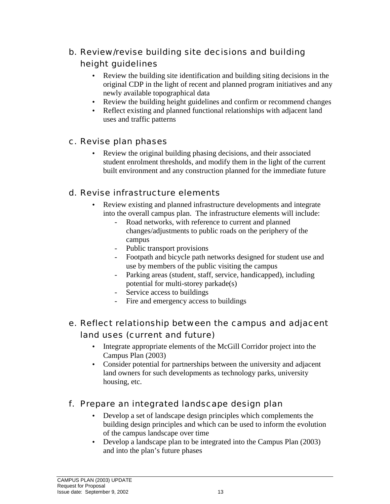- b. Review/revise building site decisions and building height guidelines
	- Review the building site identification and building siting decisions in the original CDP in the light of recent and planned program initiatives and any newly available topographical data
	- Review the building height guidelines and confirm or recommend changes
	- Reflect existing and planned functional relationships with adjacent land uses and traffic patterns
- c. Revise plan phases
	- Review the original building phasing decisions, and their associated student enrolment thresholds, and modify them in the light of the current built environment and any construction planned for the immediate future
- d. Revise infrastructure elements
	- Review existing and planned infrastructure developments and integrate into the overall campus plan. The infrastructure elements will include:
		- Road networks, with reference to current and planned changes/adjustments to public roads on the periphery of the campus
		- Public transport provisions
		- Footpath and bicycle path networks designed for student use and use by members of the public visiting the campus
		- Parking areas (student, staff, service, handicapped), including potential for multi-storey parkade(s)
		- Service access to buildings
		- Fire and emergency access to buildings
- e. Reflect relationship between the campus and adjacent land uses (current and future)
	- Integrate appropriate elements of the McGill Corridor project into the Campus Plan (2003)
	- Consider potential for partnerships between the university and adjacent land owners for such developments as technology parks, university housing, etc.
- f. Prepare an integrated landscape design plan
	- Develop a set of landscape design principles which complements the building design principles and which can be used to inform the evolution of the campus landscape over time
	- Develop a landscape plan to be integrated into the Campus Plan (2003) and into the plan's future phases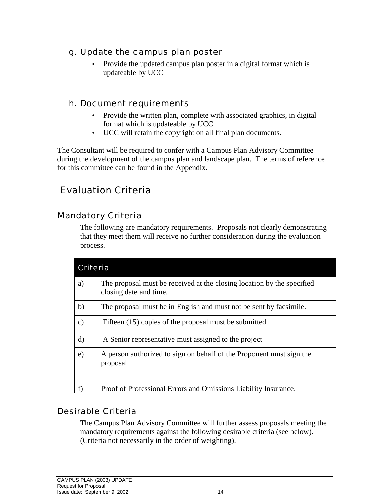- g. Update the campus plan poster
	- Provide the updated campus plan poster in a digital format which is updateable by UCC

#### h. Document requirements

- Provide the written plan, complete with associated graphics, in digital format which is updateable by UCC
- UCC will retain the copyright on all final plan documents.

The Consultant will be required to confer with a Campus Plan Advisory Committee during the development of the campus plan and landscape plan. The terms of reference for this committee can be found in the Appendix.

# Evaluation Criteria

### Mandatory Criteria

The following are mandatory requirements. Proposals not clearly demonstrating that they meet them will receive no further consideration during the evaluation process.

| Criteria      |                                                                                                  |
|---------------|--------------------------------------------------------------------------------------------------|
| a)            | The proposal must be received at the closing location by the specified<br>closing date and time. |
| b)            | The proposal must be in English and must not be sent by facsimile.                               |
| $\mathbf{c})$ | Fifteen (15) copies of the proposal must be submitted                                            |
| $\mathbf{d}$  | A Senior representative must assigned to the project                                             |
| e)            | A person authorized to sign on behalf of the Proponent must sign the<br>proposal.                |
|               |                                                                                                  |
|               | Proof of Professional Errors and Omissions Liability Insurance.                                  |

### Desirable Criteria

The Campus Plan Advisory Committee will further assess proposals meeting the mandatory requirements against the following desirable criteria (see below). (Criteria not necessarily in the order of weighting).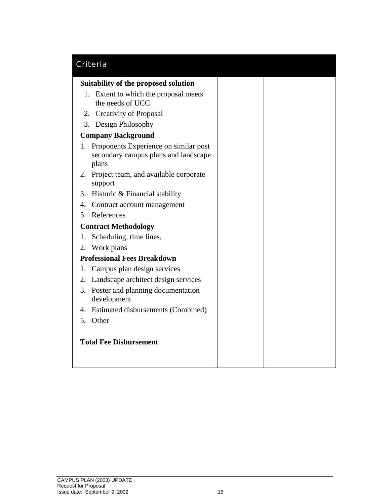| Criteria                                                                                     |  |
|----------------------------------------------------------------------------------------------|--|
| Suitability of the proposed solution                                                         |  |
| 1. Extent to which the proposal meets<br>the needs of UCC                                    |  |
| 2. Creativity of Proposal                                                                    |  |
| 3. Design Philosophy                                                                         |  |
| <b>Company Background</b>                                                                    |  |
| Proponents Experience on similar post<br>1.<br>secondary campus plans and landscape<br>plans |  |
| 2. Project team, and available corporate<br>support                                          |  |
| 3. Historic & Financial stability                                                            |  |
| Contract account management<br>4.                                                            |  |
| 5. References                                                                                |  |
| <b>Contract Methodology</b>                                                                  |  |
| Scheduling, time lines,<br>1.                                                                |  |
| Work plans<br>2.                                                                             |  |
| <b>Professional Fees Breakdown</b>                                                           |  |
| Campus plan design services<br>1.                                                            |  |
| Landscape architect design services<br>2.                                                    |  |
| 3. Poster and planning documentation<br>development                                          |  |
| 4. Estimated disbursements (Combined)                                                        |  |
| 5.<br>Other                                                                                  |  |
| <b>Total Fee Disbursement</b>                                                                |  |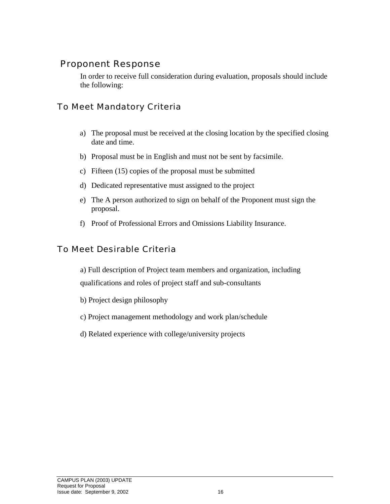### Proponent Response

In order to receive full consideration during evaluation, proposals should include the following:

### To Meet Mandatory Criteria

- a) The proposal must be received at the closing location by the specified closing date and time.
- b) Proposal must be in English and must not be sent by facsimile.
- c) Fifteen (15) copies of the proposal must be submitted
- d) Dedicated representative must assigned to the project
- e) The A person authorized to sign on behalf of the Proponent must sign the proposal.
- f) Proof of Professional Errors and Omissions Liability Insurance.

# To Meet Desirable Criteria

a) Full description of Project team members and organization, including qualifications and roles of project staff and sub-consultants

- b) Project design philosophy
- c) Project management methodology and work plan/schedule
- d) Related experience with college/university projects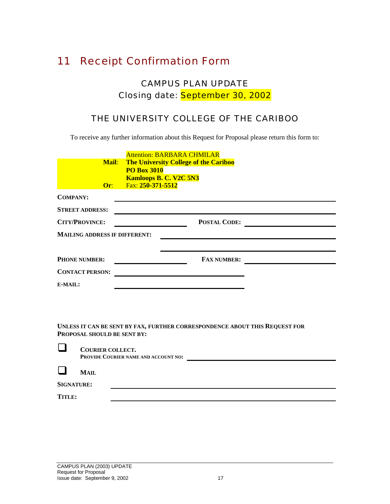# 11 Receipt Confirmation Form

# CAMPUS PLAN UPDATE Closing date: September 30, 2002

# THE UNIVERSITY COLLEGE OF THE CARIBOO

To receive any further information about this Request for Proposal please return this form to:

| <b>Mail:</b><br>Or:                  | <b>Attention: BARBARA CHMILAR</b><br><b>The University College of the Cariboo</b><br><b>PO Box 3010</b><br><b>Kamloops B. C. V2C 5N3</b><br>Fax: 250-371-5512 |  |
|--------------------------------------|---------------------------------------------------------------------------------------------------------------------------------------------------------------|--|
| <b>COMPANY:</b>                      |                                                                                                                                                               |  |
| <b>STREET ADDRESS:</b>               |                                                                                                                                                               |  |
| <b>CITY/PROVINCE:</b>                | <b>POSTAL CODE:</b>                                                                                                                                           |  |
| <b>MAILING ADDRESS IF DIFFERENT:</b> |                                                                                                                                                               |  |
|                                      |                                                                                                                                                               |  |
| <b>PHONE NUMBER:</b>                 | <b>FAX NUMBER:</b>                                                                                                                                            |  |
| <b>CONTACT PERSON:</b>               |                                                                                                                                                               |  |
| E-MAIL:                              |                                                                                                                                                               |  |

**UNLESS IT CAN BE SENT BY FAX, FURTHER CORRESPONDENCE ABOUT THIS REQUEST FOR PROPOSAL SHOULD BE SENT BY:** 

|                   | <b>COURIER COLLECT.</b><br>PROVIDE COURIER NAME AND ACCOUNT NO: |  |
|-------------------|-----------------------------------------------------------------|--|
|                   | MAIL                                                            |  |
| <b>SIGNATURE:</b> |                                                                 |  |
|                   |                                                                 |  |

**TITLE:**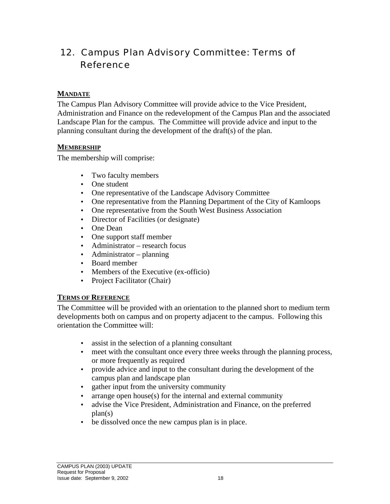# 12. Campus Plan Advisory Committee: Terms of Reference

#### **MANDATE**

The Campus Plan Advisory Committee will provide advice to the Vice President, Administration and Finance on the redevelopment of the Campus Plan and the associated Landscape Plan for the campus. The Committee will provide advice and input to the planning consultant during the development of the draft(s) of the plan.

#### **MEMBERSHIP**

The membership will comprise:

- Two faculty members
- One student
- One representative of the Landscape Advisory Committee
- One representative from the Planning Department of the City of Kamloops
- One representative from the South West Business Association
- Director of Facilities (or designate)
- One Dean
- One support staff member
- Administrator research focus
- Administrator planning
- Board member
- Members of the Executive (ex-officio)
- Project Facilitator (Chair)

#### **TERMS OF REFERENCE**

The Committee will be provided with an orientation to the planned short to medium term developments both on campus and on property adjacent to the campus. Following this orientation the Committee will:

- assist in the selection of a planning consultant
- meet with the consultant once every three weeks through the planning process, or more frequently as required
- provide advice and input to the consultant during the development of the campus plan and landscape plan
- gather input from the university community
- arrange open house $(s)$  for the internal and external community
- advise the Vice President, Administration and Finance, on the preferred plan(s)
- be dissolved once the new campus plan is in place.